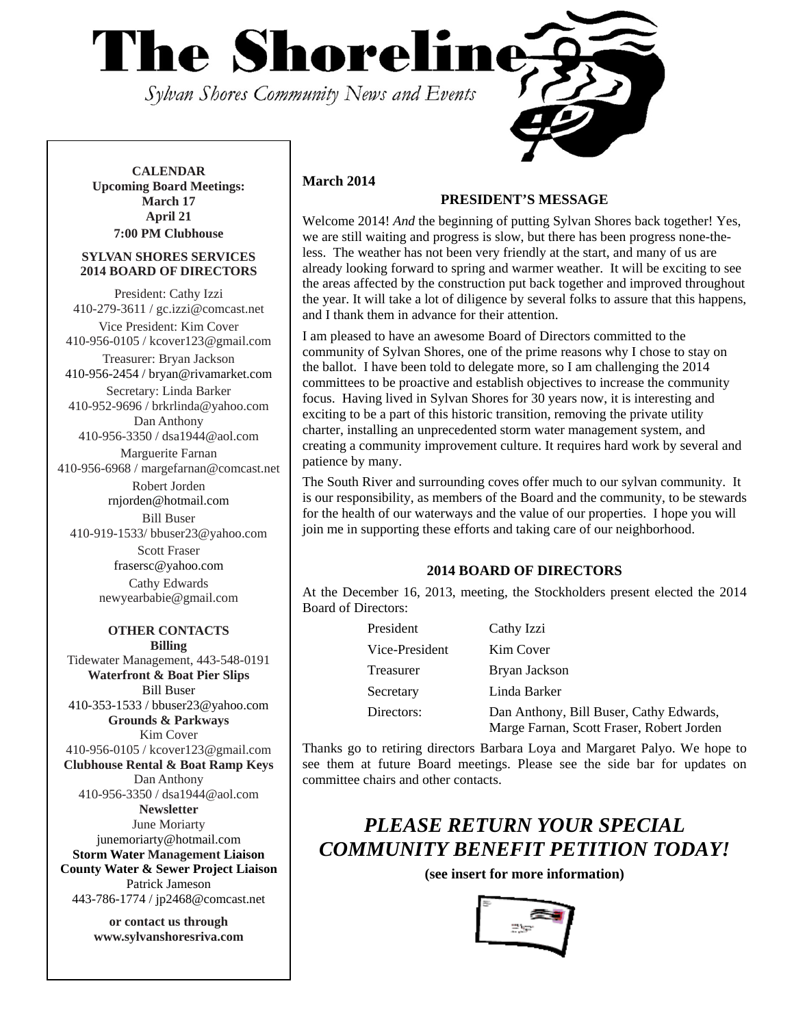

**CALENDAR Upcoming Board Meetings: March 17 April 21 7:00 PM Clubhouse**

#### **SYLVAN SHORES SERVICES 2014 BOARD OF DIRECTORS**

President: Cathy Izzi 410-279-3611 / gc.izzi@comcast.net Vice President: Kim Cover 410-956-0105 / kcover123@gmail.com Treasurer: Bryan Jackson 410-956-2454 / bryan@rivamarket.com

Secretary: Linda Barker 410-952-9696 / brkrlinda@yahoo.com Dan Anthony

410-956-3350 / dsa1944@aol.com Marguerite Farnan

410-956-6968 / margefarnan@comcast.net Robert Jorden

rnjorden@hotmail.com

Bill Buser

410-919-1533/ bbuser23@yahoo.com Scott Fraser frasersc@yahoo.com Cathy Edwards newyearbabie@gmail.com

#### **OTHER CONTACTS Billing**

Tidewater Management, 443-548-0191 **Waterfront & Boat Pier Slips**  Bill Buser 410-353-1533 / bbuser23@yahoo.com **Grounds & Parkways**  Kim Cover 410-956-0105 / kcover123@gmail.com **Clubhouse Rental & Boat Ramp Keys**  Dan Anthony 410-956-3350 / dsa1944@aol.com **Newsletter**  June Moriarty junemoriarty@hotmail.com **Storm Water Management Liaison County Water & Sewer Project Liaison**  Patrick Jameson 443-786-1774 / jp2468@comcast.net

> **or contact us through www.sylvanshoresriva.com**

### **March 2014**

# **PRESIDENT'S MESSAGE**

Welcome 2014! *And* the beginning of putting Sylvan Shores back together! Yes, we are still waiting and progress is slow, but there has been progress none-theless. The weather has not been very friendly at the start, and many of us are already looking forward to spring and warmer weather. It will be exciting to see the areas affected by the construction put back together and improved throughout the year. It will take a lot of diligence by several folks to assure that this happens, and I thank them in advance for their attention.

I am pleased to have an awesome Board of Directors committed to the community of Sylvan Shores, one of the prime reasons why I chose to stay on the ballot. I have been told to delegate more, so I am challenging the 2014 committees to be proactive and establish objectives to increase the community focus. Having lived in Sylvan Shores for 30 years now, it is interesting and exciting to be a part of this historic transition, removing the private utility charter, installing an unprecedented storm water management system, and creating a community improvement culture. It requires hard work by several and patience by many.

The South River and surrounding coves offer much to our sylvan community. It is our responsibility, as members of the Board and the community, to be stewards for the health of our waterways and the value of our properties. I hope you will join me in supporting these efforts and taking care of our neighborhood.

## **2014 BOARD OF DIRECTORS**

At the December 16, 2013, meeting, the Stockholders present elected the 2014 Board of Directors:

| President      | Cathy Izzi                                                                           |
|----------------|--------------------------------------------------------------------------------------|
| Vice-President | Kim Cover                                                                            |
| Treasurer      | Bryan Jackson                                                                        |
| Secretary      | Linda Barker                                                                         |
| Directors:     | Dan Anthony, Bill Buser, Cathy Edwards,<br>Marge Farnan, Scott Fraser, Robert Jorden |

Thanks go to retiring directors Barbara Loya and Margaret Palyo. We hope to see them at future Board meetings. Please see the side bar for updates on committee chairs and other contacts.

# *PLEASE RETURN YOUR SPECIAL COMMUNITY BENEFIT PETITION TODAY!*

**(see insert for more information)** 

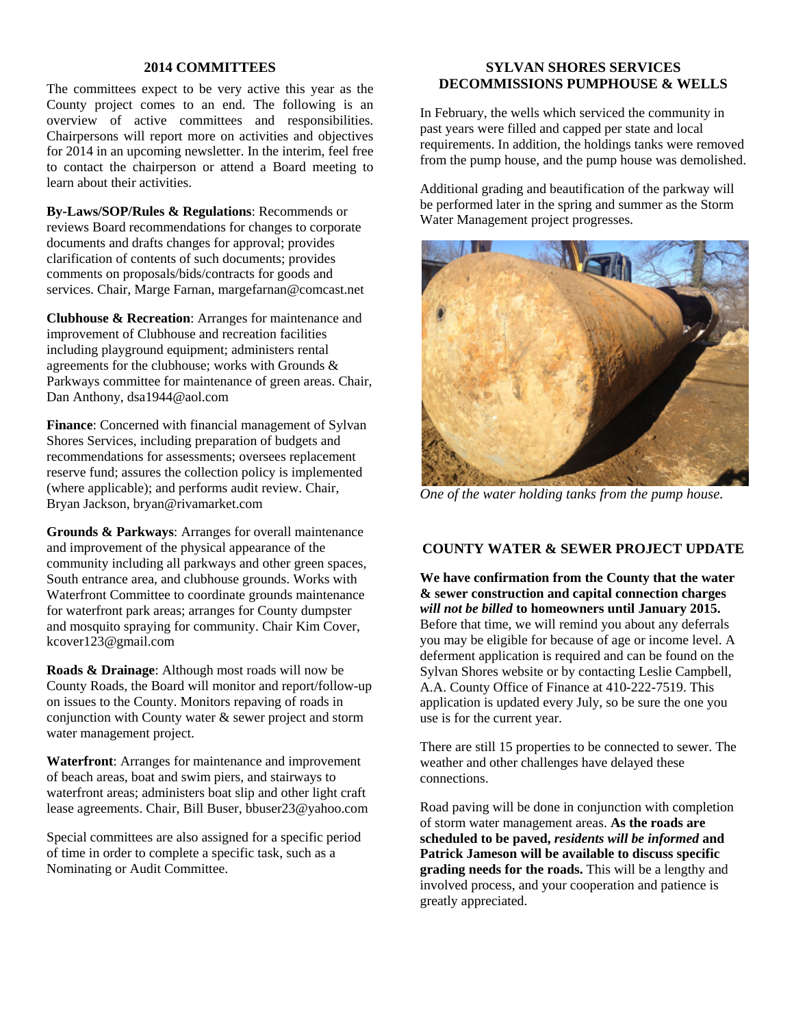#### **2014 COMMITTEES**

The committees expect to be very active this year as the County project comes to an end. The following is an overview of active committees and responsibilities. Chairpersons will report more on activities and objectives for 2014 in an upcoming newsletter. In the interim, feel free to contact the chairperson or attend a Board meeting to learn about their activities.

**By-Laws/SOP/Rules & Regulations**: Recommends or reviews Board recommendations for changes to corporate documents and drafts changes for approval; provides clarification of contents of such documents; provides comments on proposals/bids/contracts for goods and services. Chair, Marge Farnan, margefarnan@comcast.net

**Clubhouse & Recreation**: Arranges for maintenance and improvement of Clubhouse and recreation facilities including playground equipment; administers rental agreements for the clubhouse; works with Grounds & Parkways committee for maintenance of green areas. Chair, Dan Anthony, dsa1944@aol.com

**Finance**: Concerned with financial management of Sylvan Shores Services, including preparation of budgets and recommendations for assessments; oversees replacement reserve fund; assures the collection policy is implemented (where applicable); and performs audit review. Chair, Bryan Jackson, bryan@rivamarket.com

**Grounds & Parkways**: Arranges for overall maintenance and improvement of the physical appearance of the community including all parkways and other green spaces, South entrance area, and clubhouse grounds. Works with Waterfront Committee to coordinate grounds maintenance for waterfront park areas; arranges for County dumpster and mosquito spraying for community. Chair Kim Cover, kcover123@gmail.com

**Roads & Drainage**: Although most roads will now be County Roads, the Board will monitor and report/follow-up on issues to the County. Monitors repaving of roads in conjunction with County water & sewer project and storm water management project.

**Waterfront**: Arranges for maintenance and improvement of beach areas, boat and swim piers, and stairways to waterfront areas; administers boat slip and other light craft lease agreements. Chair, Bill Buser, bbuser23@yahoo.com

Special committees are also assigned for a specific period of time in order to complete a specific task, such as a Nominating or Audit Committee.

#### **SYLVAN SHORES SERVICES DECOMMISSIONS PUMPHOUSE & WELLS**

In February, the wells which serviced the community in past years were filled and capped per state and local requirements. In addition, the holdings tanks were removed from the pump house, and the pump house was demolished.

Additional grading and beautification of the parkway will be performed later in the spring and summer as the Storm Water Management project progresses.



*One of the water holding tanks from the pump house.* 

### **COUNTY WATER & SEWER PROJECT UPDATE**

**We have confirmation from the County that the water & sewer construction and capital connection charges**  *will not be billed* **to homeowners until January 2015.** Before that time, we will remind you about any deferrals you may be eligible for because of age or income level. A deferment application is required and can be found on the Sylvan Shores website or by contacting Leslie Campbell, A.A. County Office of Finance at 410-222-7519. This application is updated every July, so be sure the one you use is for the current year.

There are still 15 properties to be connected to sewer. The weather and other challenges have delayed these connections.

Road paving will be done in conjunction with completion of storm water management areas. **As the roads are scheduled to be paved,** *residents will be informed* **and Patrick Jameson will be available to discuss specific grading needs for the roads.** This will be a lengthy and involved process, and your cooperation and patience is greatly appreciated.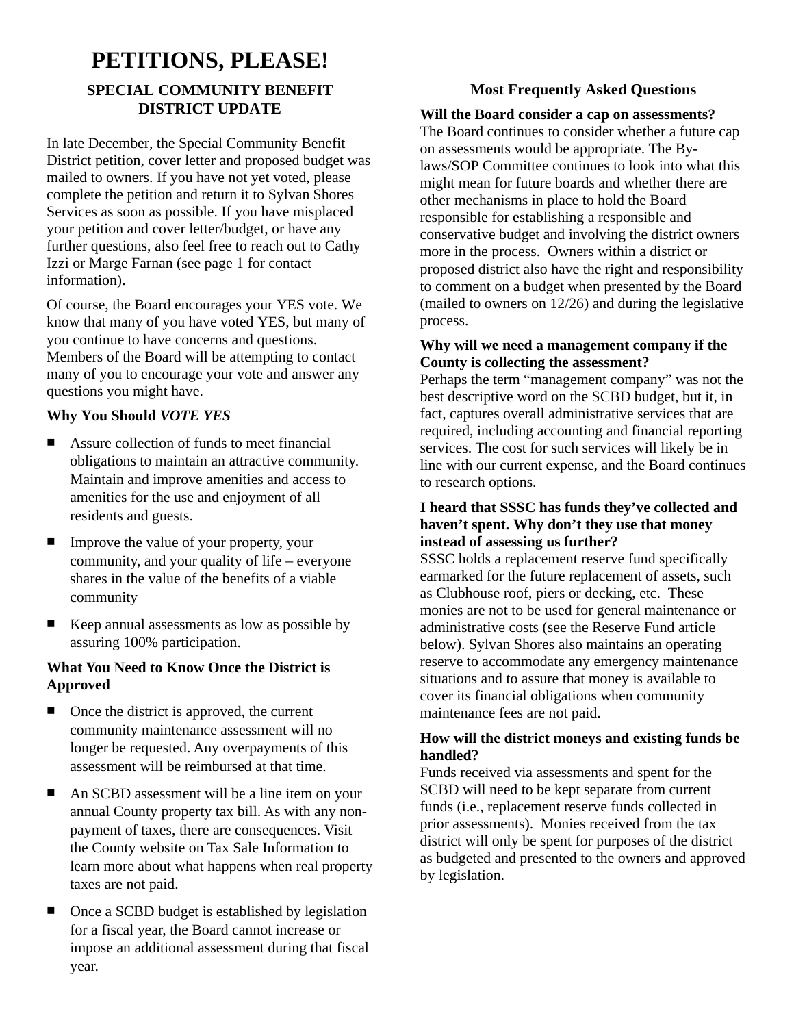# **PETITIONS, PLEASE! SPECIAL COMMUNITY BENEFIT DISTRICT UPDATE**

In late December, the Special Community Benefit District petition, cover letter and proposed budget was mailed to owners. If you have not yet voted, please complete the petition and return it to Sylvan Shores Services as soon as possible. If you have misplaced your petition and cover letter/budget, or have any further questions, also feel free to reach out to Cathy Izzi or Marge Farnan (see page 1 for contact information).

Of course, the Board encourages your YES vote. We know that many of you have voted YES, but many of you continue to have concerns and questions. Members of the Board will be attempting to contact many of you to encourage your vote and answer any questions you might have.

### **Why You Should** *VOTE YES*

- Assure collection of funds to meet financial obligations to maintain an attractive community. Maintain and improve amenities and access to amenities for the use and enjoyment of all residents and guests.
- $\blacksquare$  Improve the value of your property, your community, and your quality of life – everyone shares in the value of the benefits of a viable community
- $\blacksquare$  Keep annual assessments as low as possible by assuring 100% participation.

### **What You Need to Know Once the District is Approved**

- Once the district is approved, the current community maintenance assessment will no longer be requested. Any overpayments of this assessment will be reimbursed at that time.
- An SCBD assessment will be a line item on your annual County property tax bill. As with any nonpayment of taxes, there are consequences. Visit the County website on Tax Sale Information to learn more about what happens when real property taxes are not paid.
- Once a SCBD budget is established by legislation for a fiscal year, the Board cannot increase or impose an additional assessment during that fiscal year.

### **Most Frequently Asked Questions**

### **Will the Board consider a cap on assessments?**

The Board continues to consider whether a future cap on assessments would be appropriate. The Bylaws/SOP Committee continues to look into what this might mean for future boards and whether there are other mechanisms in place to hold the Board responsible for establishing a responsible and conservative budget and involving the district owners more in the process. Owners within a district or proposed district also have the right and responsibility to comment on a budget when presented by the Board (mailed to owners on 12/26) and during the legislative process.

### **Why will we need a management company if the County is collecting the assessment?**

Perhaps the term "management company" was not the best descriptive word on the SCBD budget, but it, in fact, captures overall administrative services that are required, including accounting and financial reporting services. The cost for such services will likely be in line with our current expense, and the Board continues to research options.

### **I heard that SSSC has funds they've collected and haven't spent. Why don't they use that money instead of assessing us further?**

SSSC holds a replacement reserve fund specifically earmarked for the future replacement of assets, such as Clubhouse roof, piers or decking, etc. These monies are not to be used for general maintenance or administrative costs (see the Reserve Fund article below). Sylvan Shores also maintains an operating reserve to accommodate any emergency maintenance situations and to assure that money is available to cover its financial obligations when community maintenance fees are not paid.

### **How will the district moneys and existing funds be handled?**

Funds received via assessments and spent for the SCBD will need to be kept separate from current funds (i.e., replacement reserve funds collected in prior assessments). Monies received from the tax district will only be spent for purposes of the district as budgeted and presented to the owners and approved by legislation.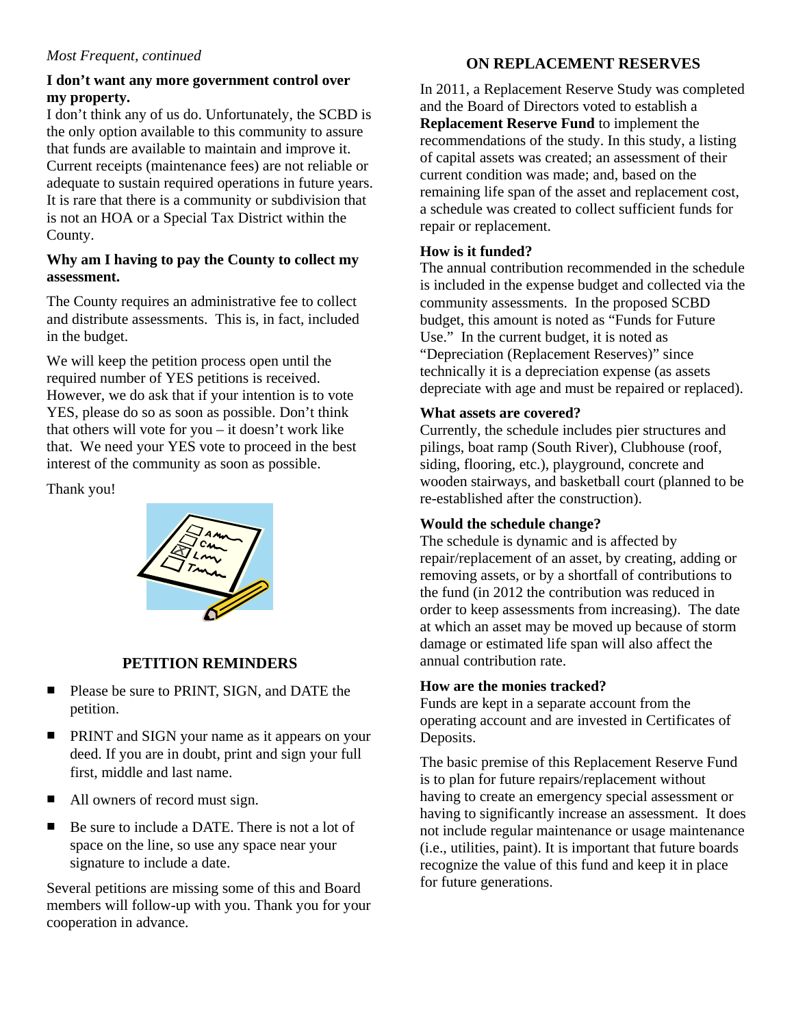### *Most Frequent, continued*

### **I don't want any more government control over my property.**

I don't think any of us do. Unfortunately, the SCBD is the only option available to this community to assure that funds are available to maintain and improve it. Current receipts (maintenance fees) are not reliable or adequate to sustain required operations in future years. It is rare that there is a community or subdivision that is not an HOA or a Special Tax District within the County.

### **Why am I having to pay the County to collect my assessment.**

The County requires an administrative fee to collect and distribute assessments. This is, in fact, included in the budget.

We will keep the petition process open until the required number of YES petitions is received. However, we do ask that if your intention is to vote YES, please do so as soon as possible. Don't think that others will vote for you – it doesn't work like that. We need your YES vote to proceed in the best interest of the community as soon as possible.

Thank you!



# **PETITION REMINDERS**

- **Please be sure to PRINT, SIGN, and DATE the** petition.
- **PRINT** and SIGN your name as it appears on your deed. If you are in doubt, print and sign your full first, middle and last name.
- All owners of record must sign.
- Be sure to include a DATE. There is not a lot of space on the line, so use any space near your signature to include a date.

Several petitions are missing some of this and Board members will follow-up with you. Thank you for your cooperation in advance.

# **ON REPLACEMENT RESERVES**

In 2011, a Replacement Reserve Study was completed and the Board of Directors voted to establish a **Replacement Reserve Fund** to implement the recommendations of the study. In this study, a listing of capital assets was created; an assessment of their current condition was made; and, based on the remaining life span of the asset and replacement cost, a schedule was created to collect sufficient funds for repair or replacement.

### **How is it funded?**

The annual contribution recommended in the schedule is included in the expense budget and collected via the community assessments. In the proposed SCBD budget, this amount is noted as "Funds for Future Use." In the current budget, it is noted as "Depreciation (Replacement Reserves)" since technically it is a depreciation expense (as assets depreciate with age and must be repaired or replaced).

### **What assets are covered?**

Currently, the schedule includes pier structures and pilings, boat ramp (South River), Clubhouse (roof, siding, flooring, etc.), playground, concrete and wooden stairways, and basketball court (planned to be re-established after the construction).

## **Would the schedule change?**

The schedule is dynamic and is affected by repair/replacement of an asset, by creating, adding or removing assets, or by a shortfall of contributions to the fund (in 2012 the contribution was reduced in order to keep assessments from increasing). The date at which an asset may be moved up because of storm damage or estimated life span will also affect the annual contribution rate.

### **How are the monies tracked?**

Funds are kept in a separate account from the operating account and are invested in Certificates of Deposits.

The basic premise of this Replacement Reserve Fund is to plan for future repairs/replacement without having to create an emergency special assessment or having to significantly increase an assessment. It does not include regular maintenance or usage maintenance (i.e., utilities, paint). It is important that future boards recognize the value of this fund and keep it in place for future generations.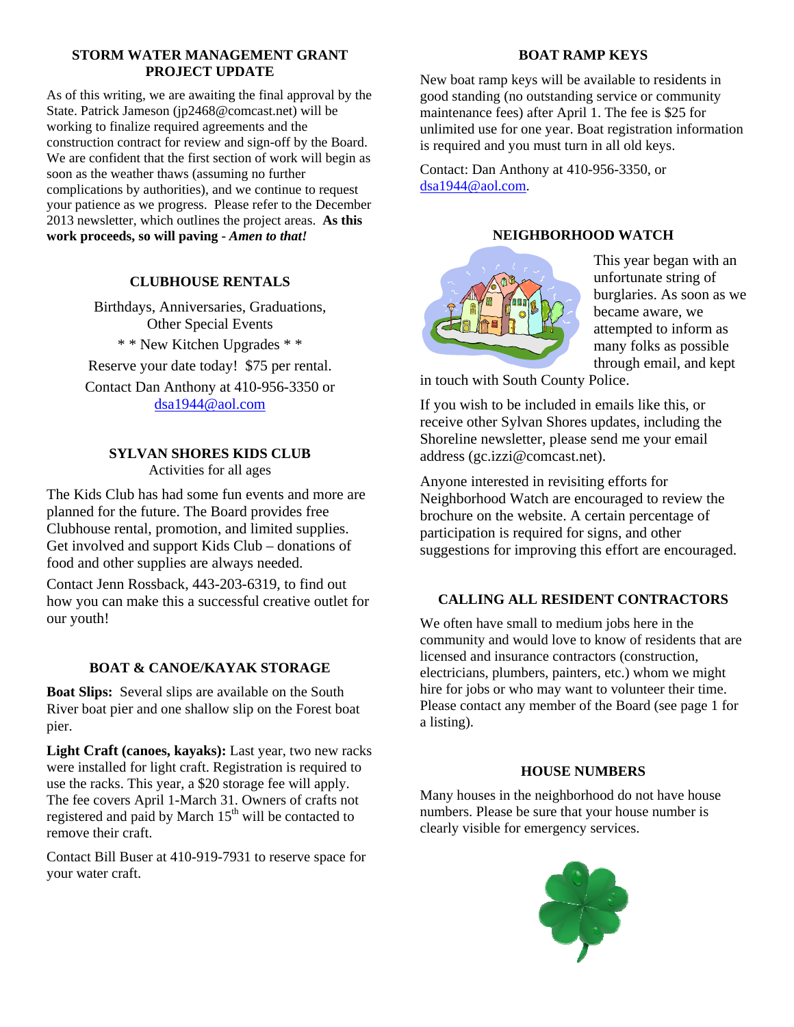### **STORM WATER MANAGEMENT GRANT PROJECT UPDATE**

As of this writing, we are awaiting the final approval by the State. Patrick Jameson (jp2468@comcast.net) will be working to finalize required agreements and the construction contract for review and sign-off by the Board. We are confident that the first section of work will begin as soon as the weather thaws (assuming no further complications by authorities), and we continue to request your patience as we progress. Please refer to the December 2013 newsletter, which outlines the project areas. **As this work proceeds, so will paving -** *Amen to that!*

### **CLUBHOUSE RENTALS**

Birthdays, Anniversaries, Graduations, Other Special Events \* \* New Kitchen Upgrades \* \* Reserve your date today! \$75 per rental. Contact Dan Anthony at 410-956-3350 or dsa1944@aol.com

# **SYLVAN SHORES KIDS CLUB**

Activities for all ages

The Kids Club has had some fun events and more are planned for the future. The Board provides free Clubhouse rental, promotion, and limited supplies. Get involved and support Kids Club – donations of food and other supplies are always needed.

Contact Jenn Rossback, 443-203-6319, to find out how you can make this a successful creative outlet for our youth!

### **BOAT & CANOE/KAYAK STORAGE**

**Boat Slips:** Several slips are available on the South River boat pier and one shallow slip on the Forest boat pier.

**Light Craft (canoes, kayaks):** Last year, two new racks were installed for light craft. Registration is required to use the racks. This year, a \$20 storage fee will apply. The fee covers April 1-March 31. Owners of crafts not registered and paid by March  $15<sup>th</sup>$  will be contacted to remove their craft.

Contact Bill Buser at 410-919-7931 to reserve space for your water craft.

### **BOAT RAMP KEYS**

New boat ramp keys will be available to residents in good standing (no outstanding service or community maintenance fees) after April 1. The fee is \$25 for unlimited use for one year. Boat registration information is required and you must turn in all old keys.

Contact: Dan Anthony at 410-956-3350, or dsa1944@aol.com.

### **NEIGHBORHOOD WATCH**



This year began with an unfortunate string of burglaries. As soon as we became aware, we attempted to inform as many folks as possible through email, and kept

in touch with South County Police.

If you wish to be included in emails like this, or receive other Sylvan Shores updates, including the Shoreline newsletter, please send me your email address (gc.izzi@comcast.net).

Anyone interested in revisiting efforts for Neighborhood Watch are encouraged to review the brochure on the website. A certain percentage of participation is required for signs, and other suggestions for improving this effort are encouraged.

## **CALLING ALL RESIDENT CONTRACTORS**

We often have small to medium jobs here in the community and would love to know of residents that are licensed and insurance contractors (construction, electricians, plumbers, painters, etc.) whom we might hire for jobs or who may want to volunteer their time. Please contact any member of the Board (see page 1 for a listing).

### **HOUSE NUMBERS**

Many houses in the neighborhood do not have house numbers. Please be sure that your house number is clearly visible for emergency services.